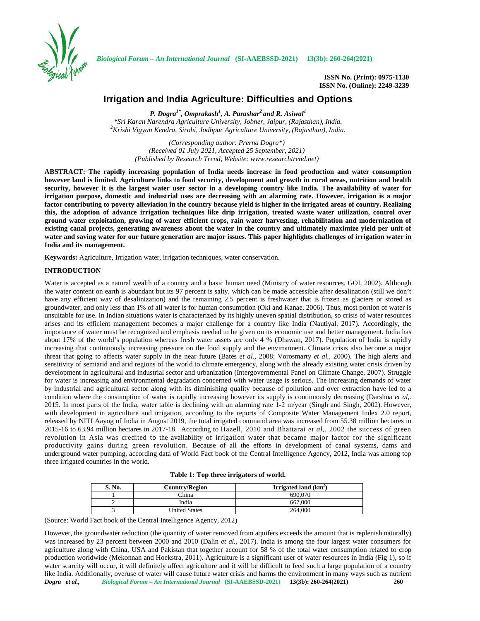

*Biological Forum – An International Journal* **(SI-AAEBSSD-2021) 13(3b): 260-264(2021)**

**ISSN No. (Print): 0975-1130 ISSN No. (Online): 2249-3239**

# **Irrigation and India Agriculture: Difficulties and Options**

*P. Dogra1\* , Omprakash<sup>1</sup> , A. Parashar<sup>2</sup> and R. Asiwal<sup>1</sup>* \*Sri Karan Narendra Agriculture University, Jobner, Jaipur, (Rajasthan), India.<br><sup>2</sup>Krishi Vigyan Kendra, Sirohi, Jodhpur Agriculture University, (Rajasthan), India.

*(Corresponding author: Prerna Dogra\*) (Received 01 July 2021, Accepted 25 September, 2021) (Published by Research Trend, Website: [www.researchtrend.net\)](www.researchtrend.net)*

**ABSTRACT: The rapidly increasing population of India needs increase in food production and water consumption however land is limited. Agriculture links to food security, development and growth in rural areas, nutrition and health security, however it is the largest water user sector in a developing country like India. The availability of water for irrigation purpose, domestic and industrial uses are decreasing with an alarming rate. However, irrigation is a major factor contributing to poverty alleviation in the country because yield is higher in the irrigated areas of country. Realizing this, the adoption of advance irrigation techniques like drip irrigation, treated waste water utilization, control over ground water exploitation, growing of water efficient crops, rain water harvesting, rehabilitation and modernization of existing canal projects, generating awareness about the water in the country and ultimately maximize yield per unit of water and saving water for our future generation are major issues. This paper highlights challenges of irrigation water in** India and its management.

**Keywords:** Agriculture, Irrigation water, irrigation techniques, water conservation.

# **INTRODUCTION**

Water is accepted as a natural wealth of a country and a basic human need (Ministry of water resources, GOI, 2002). Although the water content on earth is abundant but its 97 percent is salty, which can be made accessible after desalination (still we don't have any efficient way of desalinization) and the remaining 2.5 percent is freshwater that is frozen as glaciers or stored as groundwater, and only less than 1% of all water is for human consumption (Oki and Kanae, 2006). Thus, most portion of water is unsuitable for use. In Indian situations water is characterized by its highly uneven spatial distribution, so crisis of water resources arises and its efficient management becomes a major challenge for a country like India (Nautiyal, 2017). Accordingly, the importance of water must be recognized and emphasis needed to be given on its economic use and better management. India has about 17% of the world's population whereas fresh water assets are only 4 % (Dhawan,2017). Population of India is rapidly increasing that continuously increasing pressure on the food supply and the environment. Climate crisis also become a major threat that going to affects water supply in the near future (Bates *et al.,* 2008; Vorosmarty *et al.,* 2000). The high alerts and sensitivity of semiarid and arid regions of the world to climate emergency, along with the already existing water crisis driven by development in agricultural and industrial sector and urbanization (Intergovernmental Panel on Climate Change, 2007). Struggle for water is increasing and environmental degradation concerned with water usage is serious. The increasing demands of water by industrial and agricultural sector along with its diminishing quality because of pollution and over extraction have led to a condition where the consumption of water is rapidly increasing however its supply is continuously decreasing (Darshna *et al,.* 2015. In most parts of the India, water table is declining with an alarming rate 1-2 m/year (Singh and Singh, 2002). However, with development in agriculture and irrigation, according to the reports of Composite Water Management Index 2.0 report, released by NITI Aayog of India in August 2019, the total irrigated command area was increased from 55.38 million hectares in 2015-16 to 63.94 million hectares in 2017-18. According to Hazell, 2010 and Bhattarai *et al,.* 2002 the success of green revolution in Asia was credited to the availability of irrigation water that became major factor for the significant productivity gains during green revolution. Because of all the efforts in development of canal systems, dams and underground water pumping, according data of World Fact book of the Central Intelligence Agency, 2012, India was among top three irrigated countries in the world.

|  |  |  | Table 1: Top three irrigators of world. |  |  |
|--|--|--|-----------------------------------------|--|--|
|--|--|--|-----------------------------------------|--|--|

| S. No. | Country/Region       | Irrigated land $(km^2)$ |
|--------|----------------------|-------------------------|
|        | China                | 690,070                 |
|        | India                | 667,000                 |
|        | <b>United States</b> | 264,000                 |

(Source: World Fact book of the Central Intelligence Agency, 2012)

*Dogra et al., Biological Forum – An International Journal* **(SI-AAEBSSD-2021) 13(3b): 260-264(2021) 260** However, the groundwater reduction (the quantity of water removed from aquifers exceeds the amount that is replenish naturally) was increased by 23 percent between 2000 and 2010 (Dalin *et al.*, 2017). India is among the four largest water consumers for agriculture along with China, USA and Pakistan that together account for 58 % of the total water consumption related to crop production worldwide (Mekonnan and Hoekstra, 2011). Agriculture is a significant user of water resources in India (Fig 1), so if water scarcity will occur, it will definitely affect agriculture and it will be difficult to feed such a large population of a country like India. Additionally, overuse of water will cause future water crisis and harms the environment in many ways such as nutrient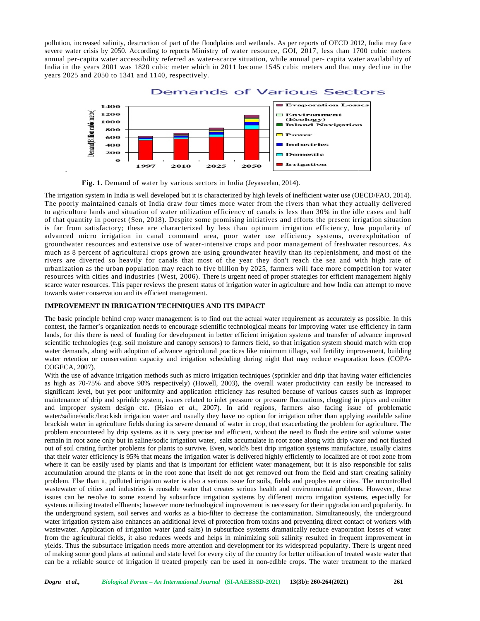pollution, increased salinity, destruction of part of the floodplains and wetlands. As per reports of OECD 2012, India may face severe water crisis by 2050. According to reports Ministry of water resource, GOI, 2017, less than 1700 cubic meters annual per-capita water accessibility referred as water-scarce situation, while annual per- capita water availability of India in the years 2001 was 1820 cubic meter which in 2011 become 1545 cubic meters and that may decline in the years 2025 and 2050 to 1341 and 1140, respectively.



**Fig. 1.** Demand of water by various sectors in India (Jeyaseelan, 2014).

The irrigation system in India is well developed but it is characterized by high levels of inefficient water use (OECD/FAO, 2014). The poorly maintained canals of India draw four times more water from the rivers than what they actually delivered to agriculture lands and situation of water utilization efficiency of canals is less than 30% in the idle cases and half of that quantity in poorest (Sen, 2018). Despite some promising initiatives and efforts the present irrigation situation of that quantity in poorest (Sen, 2018). Despite some promising initiatives and efforts the present irrigation situation<br>is far from satisfactory; these are characterized by less than optimum irrigation efficiency, low pop advanced micro irrigation in canal command area, poor water use efficiency systems, overexploitation of groundwater resources and extensive use of water-intensive crops and poor management of freshwater resources. As groundwater resources and extensive use of water-intensive crops and poor management of freshwater resources. As<br>much as 8 percent of agricultural crops grown are using groundwater heavily than its replenishment, and most rivers are diverted so heavily for canals that most of the year they don't reach the sea and with high rate of urbanization as the urban population may reach to five billion by 2025, farmers will face more competition for water resources with cities and industries (West, 2006). There is urgent need of proper strategies for efficient management highly scarce water resources. This paper reviews the present status of irrigation water in agriculture and how India can attempt to move towards water conservation and its efficient management. the population may reach to five billion by 2025, farmers will face more competition for water<br>with cities and industries (West, 2006). There is urgent need of proper strategies for efficient management highly<br>er resources

# **IMPROVEMENT IN IRRIGATION TECHNIQUES AND ITS IMPACT**

.

The basic principle behind crop water management is to find out the actual water requirement as accurately as possible. In this contest, the farmer's organization needs to encourage scientific technological means for improving water use efficiency in farm lands, for this there is need of funding for development in better efficient irrigation systems and transfer of advance improved<br>scientific technologies (e.g. soil moisture and canopy sensors) to farmers field, so that irr scientific technologies (e.g. soil moisture and canopy sensors) to farmers field, so that irrigation system should match with crop water demands, along with adoption of advance agricultural practices like minimum tillage, soil fertility improvement, building water retention or conservation capacity and irrigation scheduling during night that may reduce evaporation loses (COPA- COGECA, 2007).

With the use of advance irrigation methods such as micro irrigation techniques (sprinkler and drip that having water efficiencies as high as 70-75% and above 90% respectively) (Howell, 2003), the overall water productivity can easily be increased to significant level, but yet poor uniformity and application efficiency has resulted because of various causes such as improper maintenance of drip and sprinkle system, issues related to inlet pressure or pressure fluctuations, clogging in pipes and emitter and improper system design etc. (Hsiao *et al.,* 2007). In arid regions, farmers also facing issue of problematic water/saline/sodic/brackish irrigation water and usually they have no option for irrigation other than applying available saline brackish water in agriculture fields during its severe demand of water in crop, that exacerbating the problem for agriculture. The problem encountered by drip systems as it is very precise and efficient, without the need to flush the entire soil volume water remain in root zone only but in saline/sodic irrigation water, salts accumulate in root zone along with drip water and not flushed out of soil crating further problems for plants to survive. Even, world's best drip irrigation systems manufacture, usually claims that their water efficiency is 95% that means the irrigation water is delivered highly efficiently to localized are of root zone from where it can be easily used by plants and that is important for efficient water management, but it is also responsible for salts accumulation around the plants or in the root zone that itself do not get removed outfrom the field and start creating salinity accumulation around the plants or in the root zone that itself do not get removed out from the field and start creating salinity<br>problem. Else than it, polluted irrigation water is also a serious issue for soils, fields an wastewater of cities and industries is reusable water that creates serious health and environmental problems. However, these issues can be resolve to some extend by subsurface irrigation systems by different micro irrigation systems, especially for systems utilizing treated effluents; however more technological improvement is necessary for their upgradation and popularity. In the underground system, soil serves and works as a bio-filter to decrease the contamination. Simultaneously, the underground water irrigation system also enhances an additional level of protection from toxins and preventing direct contact of workers with wastewater. Application of irrigation water (and salts) in subsurface systems dramatically reduce evaporation losses of water from the agricultural fields, it also reduces weeds and helps in minimizing soil salinity resulted in frequent improvement in yields. Thus the subsurface irrigation needs more attention and development for its widespread popularity. There is urgent need of making some good plans at national and state level for every city of the country for better utilisation of treated waste water that can be a reliable source of irrigation if treated properly can be used in non-edible crops. The water treatment to the marked increased the sixterior interest in the control of the control of the control of the control of the control of the control of the control of the control of the control of the control of the control of the control of the co water retention or conservation capacity and irrigation scheduling during night that may reduce evaporation loses (COPA-COGECA, 2007).<br>With the use of advance irrigation methods such as micro irrigation techniques (sprinkl water/saline/sodic/brackish irrigation water and usually they have no option for irrigation other than applying available<br>brackish water in agriculture fields during its severe demand of water in crop, that exacerbating th wastewater of cities and industries is reusable water that creates serious health and environmental problems. However, these issues can be resolve to some extend by subsurface irrigation systems by different micro irrigati the firmer's organization meeds to encourage scientific technological means for improving water use fiftiency in farm<br>the firmer's need of funding for development in better efficient inguition systems and transfer of adva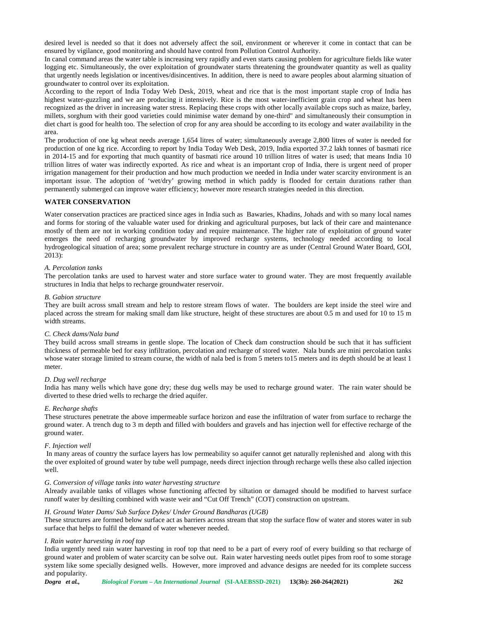desired level is needed so that it does not adversely affect the soil, environment or wherever it come in contact that can be ensured by vigilance, good monitoring and should have control from Pollution Control Authority.

In canal command areas the water table is increasing very rapidly and even starts causing problem for agriculture fields like water logging etc. Simultaneously, the over exploitation of groundwater starts threatening the groundwater quantity as well as quality that urgently needs legislation or incentives/disincentives. In addition, there is need to aware peoples about alarming situation of groundwater to control over its exploitation.

According to the report of India Today Web Desk, 2019, wheat and rice that is the most important staple crop of India has highest water-guzzling and we are producing it intensively. Rice is the most water-inefficient grain crop and wheat has been recognized as the driver in increasing water stress. Replacing these crops with other locally available crops such as maize, barley, millets, sorghum with their good varieties could minimise water demand by one-third" and simultaneously their consumption in diet chart is good for health too. The selection of crop for any area should be according to its ecology and water availability in the area.

The production of one kg wheat needs average 1,654 litres of water; simultaneously average 2,800 litres of water is needed for production of one kg rice. According to report by India Today Web Desk, 2019, India exported 37.2 lakh tonnes of basmati rice in 2014-15 and for exporting that much quantity of basmati rice around 10 trillion litres of water is used; that means India 10 trillion litres of water was indirectly exported. As rice and wheat is an important crop of India, there is urgent need of proper irrigation management for their production and how much production we needed in India under water scarcity environment is an important issue. The adoption of 'wet/dry' growing method in which paddy is flooded for certain durations rather than permanently submerged can improve water efficiency; however more research strategies needed in this direction.

# **WATER CONSERVATION**

Water conservation practices are practiced since ages in India such as Bawaries, Khadins, Johads and with so many local names and forms for storing of the valuable water used for drinking and agricultural purposes, but lack of their care and maintenance mostly of them are not in working condition today and require maintenance. The higher rate of exploitation of ground water emerges the need of recharging groundwater by improved recharge systems, technology needed according to local hydrogeological situation of area; some prevalent recharge structure in country are as under (Central Ground Water Board, GOI, 2013):

#### *A. Percolation tanks*

The percolation tanks are used to harvest water and store surface water to ground water. They are most frequently available structures in India that helps to recharge groundwater reservoir.

#### *B. Gabion structure*

They are built across small stream and help to restore stream flows of water. The boulders are kept inside the steel wire and placed across the stream for making small dam like structure, height of these structures are about 0.5 m and used for 10 to 15 m width streams.

## *C. Check dams/Nala bund*

They build across small streams in gentle slope. The location of Check dam construction should be such that it has sufficient thickness of permeable bed for easy infiltration, percolation and recharge of stored water. Nala bunds are mini percolation tanks whose water storage limited to stream course, the width of nala bed is from 5 meters to15 meters and its depth should be at least 1 meter.

# *D. Dug well recharge*

India has many wells which have gone dry; these dug wells may be used to recharge ground water. The rain water should be diverted to these dried wells to recharge the dried aquifer.

#### *E. Recharge shafts*

These structures penetrate the above impermeable surface horizon and ease the infiltration of water from surface to recharge the ground water. A trench dug to 3 m depth and filled with boulders and gravels and has injection well for effective recharge of the ground water.

### *F. Injection well*

In many areas of country the surface layers has low permeability so aquifer cannot get naturally replenished and along with this the over exploited of ground water by tube well pumpage, needs direct injection through recharge wells these also called injection well.

## *G. Conversion of village tanks into water harvesting structure*

Already available tanks of villages whose functioning affected by siltation or damaged should be modified to harvest surface runoff water by desilting combined with waste weir and "Cut Off Trench" (COT) construction on upstream.

#### *H. Ground Water Dams/ Sub Surface Dykes/ Under Ground Bandharas (UGB)*

These structures are formed below surface act as barriers across stream that stop the surface flow of water and stores water in sub surface that helps to fulfil the demand of water whenever needed.

#### *I. Rain water harvesting in roof top*

India urgently need rain water harvesting in roof top that need to be a part of every roof of every building so that recharge of ground water and problem of water scarcity can be solve out. Rain water harvesting needs outlet pipes from roof to some storage system like some specially designed wells. However, more improved and advance designs are needed for its complete success and popularity.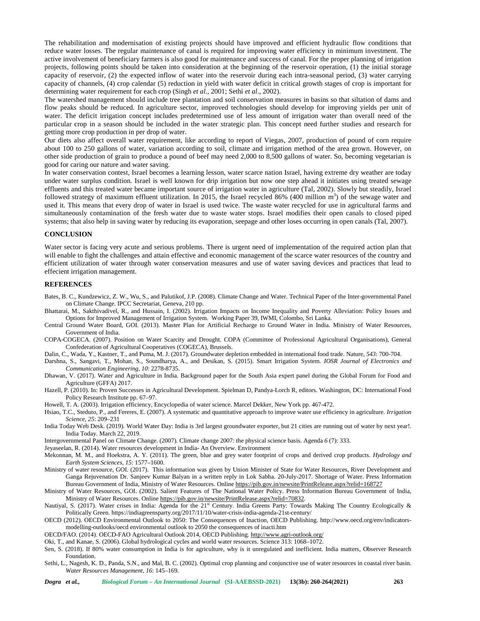The rehabilitation and modernisation of existing projects should have improved and efficient hydraulic flow conditions that reduce water losses. The regular maintenance of canal is required for improving water efficiency in minimum investment. The active involvement of beneficiary farmers is also good for maintenance and success of canal. For the proper planning of irrigation projects, following points should be taken into consideration at the beginning of the reservoir operation, (1) the initial storage capacity of reservoir, (2) the expected inflow of water into the reservoir during each intra-seasonal period, (3) water carrying capacity of channels, (4) crop calendar (5) reduction in yield with water deficit in critical growth stages of crop is important for determining water requirement for each crop (Singh *et al.,* 2001; Sethi *et al*., 2002).

The watershed management should include tree plantation and soil conservation measures in basins so that siltation of dams and flow peaks should be reduced. In agriculture sector, improved technologies should develop for improving yields per unit of water. The deficit irrigation concept includes predetermined use of less amount of irrigation water than overall need of the particular crop in a season should be included in the water strategic plan. This concept need further studies and research for getting more crop production in per drop of water.

Our diets also affect overall water requirement, like according to report of Viegas, 2007, production of pound of corn require about 100 to 250 gallons of water, variation according to soil, climate and irrigation method of the area grown. However, on other side production of grain to produce a pound of beef may need 2,000 to 8,500 gallons of water. So, becoming vegetarian is good for caring our nature and water saving.

In water conservation contest, Israel becomes a learning lesson, water scarce nation Israel, having extreme dry weather are today under water surplus condition. Israel is well known for drip irrigation but now one step ahead it initiates using treated sewage effluents and this treated water became important source of irrigation water in agriculture (Tal, 2002). Slowly but steadily, Israel followed strategy of maximum effluent utilization. In 2015, the Israel recycled 86% (400 million  $m<sup>3</sup>$ ) of the sewage water and used it. This means that every drop of water in Israel is used twice. The waste water recycled for use in agricultural farms and simultaneously contamination of the fresh water due to waste water stops. Israel modifies their open canals to closed piped systems; that also help in saving water by reducing its evaporation, seepage and other loses occurring in open canals (Tal, 2007).

## **CONCLUSION**

Water sector is facing very acute and serious problems. There is urgent need of implementation of the required action plan that will enable to fight the challenges and attain effective and economic management of the scarce water resources of the country and efficient utilization of water through water conservation measures and use of water saving devices and practices that lead to effecient irrigation management.

# **REFERENCES**

- Bates, B. C., Kundzewicz, Z. W., Wu, S., and Palutikof, J.P. (2008). Climate Change and Water. Technical Paper of the Inter-governmental Panel on Climate Change. IPCC Secretariat, Geneva, 210 pp.
- Bhattarai, M., Sakthivadivel, R., and Hussain, I. (2002). Irrigation Impacts on Income Inequality and Poverty Alleviation: Policy Issues and Options for Improved Management of Irrigation System. Working Paper 39, IWMI, Colombo, Sri Lanka.
- Central Ground Water Board, GOI. (2013). Master Plan for Artificial Recharge to Ground Water in India. Ministry of Water Resources, Government of India.
- COPA-COGECA. (2007). Position on Water Scarcity and Drought. COPA (Committee of Professional Agricultural Organisations), General Confederation of Agricultural Cooperatives (COGECA), Brussels.
- Dalin, C., Wada, Y., Kastner, T., and Puma, M. J. (2017). Groundwater depletion embedded in international food trade. Nature, *543*: 700-704.

Darshna, S., Sangavi, T., Mohan, S., Soundharya, A., and Desikan, S. (2015). Smart Irrigation System. *IOSR Journal of Electronics and Communication Engineering*, *10*: 2278-8735.

- Dhawan, V. (2017). Water and Agriculture in India. Background paper for the South Asia expert panel during the Global Forum for Food and Agriculture (GFFA) 2017.
- Hazell, P. (2010). In: Proven Successes in Agricultural Development. Spielman D, Pandya-Lorch R, editors. Washington, DC: International Food Policy Research Institute pp. 67–97.

Howell, T. A. (2003). Irrigation efficiency, Encyclopedia of water science. Marcel Dekker, New York pp. 467-472.

- Hsiao, T.C., Steduto, P., and Fereres, E. (2007). A systematic and quantitative approach to improve water use efficiency in agriculture. *Irrigation Science*, *25*: 209–231
- India Today Web Desk. (2019). World Water Day: India is 3rd largest groundwater exporter, but 21 cities are running out of water by next year!. India Today. March 22, 2019.

Intergovernmental Panel on Climate Change. (2007). Climate change 2007: the physical science basis. Agenda *6* (7): 333.

Jeyaseelan, R. (2014). Water resources development in India- An Overview. Environment

- Mekonnan, M. M., and Hoekstra, A. Y. (2011). The green, blue and grey water footprint of crops and derived crop products. *Hydrology and Earth System Sciences*, *15*: 1577–1600.
- Ministry of water resource, GOI. (2017). This information was given by Union Minister of State for Water Resources, River Development and Ganga Rejuvenation Dr. Sanjeev Kumar Balyan in a written reply in Lok Sabha. 20-July-2017. Shortage of Water. Press Information Bureau Government of India, Ministry of Water Resources. Online https://pib.gov.in/newsite/PrintRelease.aspx?relid=168727
- Ministry of Water Resources, GOI. (2002). Salient Features of The National Water Policy. Press Information Bureau Government of India, Ministry of Water Resources. Online https://pib.gov.in/newsite/PrintRelease.aspx?relid=70832.
- Nautiyal, S. (2017). Water crises in India: Agenda for the 21<sup>st</sup> Century. India Greens Party: Towards Making The Country Ecologically & Politically Green. https://indiagreensparty.org/2017/11/10/water-crisis-india-agenda-21st-century/
- OECD (2012). OECD Environmental Outlook to 2050: The Consequences of Inaction, OECD Publishing. [http://www.oecd.org/env/indicators](http://www.oecd.org/env/indicators-) modelling-outlooks/oecd environmental outlook to 2050 the consequences of inacti.htm
- OECD/FAO. (2014). OECD-FAO Agricultural Outlook 2014, OECD Publishing. <http://www.agri-outlook.org/>
- Oki, T., and Kanae, S. (2006). Global hydrological cycles and world water resources. Science 313: 1068–1072.
- Sen, S. (2018). If 80% water consumption in India is for agriculture, why is it unregulated and inefficient. India matters, Observer Research Foundation.
- Sethi, L., Nagesh, K. D., Panda, S.N., and Mal, B. C. (2002). Optimal crop planning and conjunctive use of water resources in coastal river basin. *Water Resources Management*, *16*: 145–169.